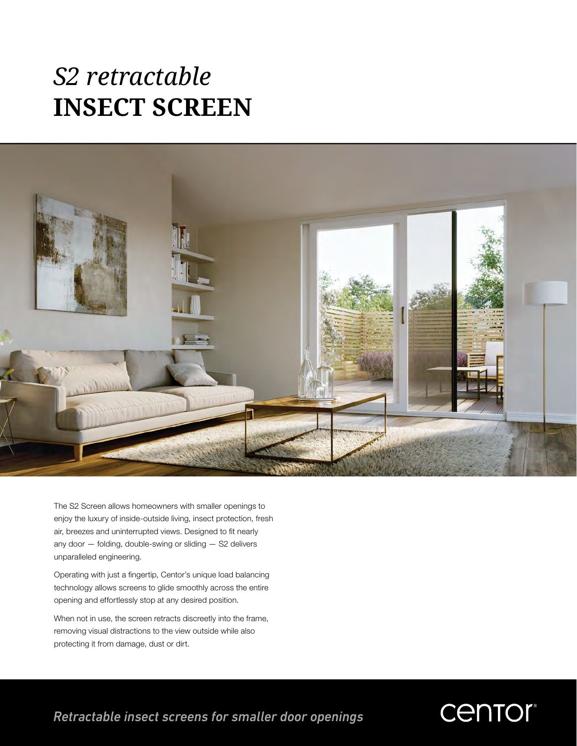# *S2 retractable* **INSECT SCREEN**



The S2 Screen allows homeowners with smaller openings to enjoy the luxury of inside-outside living, insect protection, fresh air, breezes and uninterrupted views. Designed to fit nearly any door — folding, double-swing or sliding — S2 delivers unparalleled engineering.

Operating with just a fingertip, Centor's unique load balancing technology allows screens to glide smoothly across the entire opening and effortlessly stop at any desired position.

When not in use, the screen retracts discreetly into the frame, removing visual distractions to the view outside while also protecting it from damage, dust or dirt.

*Retractable insect screens for smaller door openings*

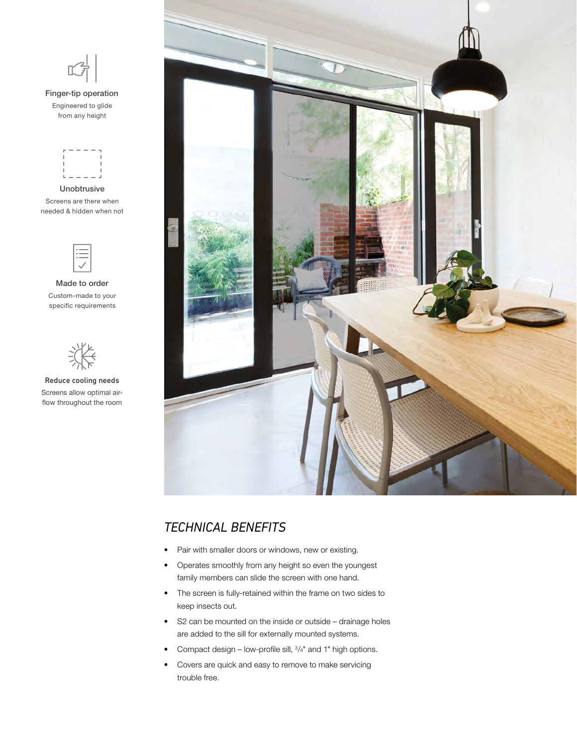

Finger-tip operation Engineered to glide from any height



Unobtrusive Screens are there when needed & hidden when not



Made to order Custom-made to your specific requirements



Reduce cooling needs Screens allow optimal airflow throughout the room



## *TECHNICAL BENEFITS*

- Pair with smaller doors or windows, new or existing.
- Operates smoothly from any height so even the youngest family members can slide the screen with one hand.
- The screen is fully-retained within the frame on two sides to keep insects out.
- S2 can be mounted on the inside or outside drainage holes are added to the sill for externally mounted systems.
- Compact design low-profile sill,  $\frac{3}{4}$ " and 1" high options.
- Covers are quick and easy to remove to make servicing trouble free.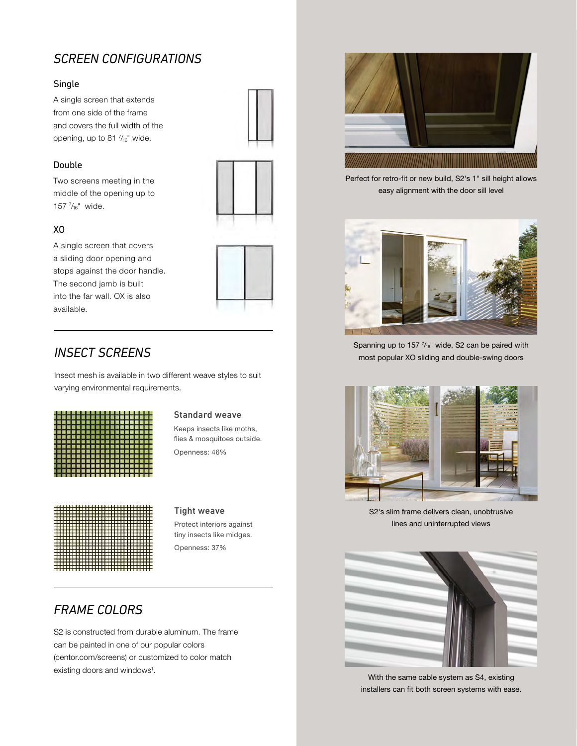## *SCREEN CONFIGURATIONS*

#### Single

A single screen that extends from one side of the frame and covers the full width of the opening, up to 81 $\frac{7}{16}$ " wide.

#### Double

Two screens meeting in the middle of the opening up to 157 $\frac{7}{16}$ " wide.



#### XO

A single screen that covers a sliding door opening and stops against the door handle. The second jamb is built into the far wall. OX is also available.

## *INSECT SCREENS*

Insect mesh is available in two different weave styles to suit varying environmental requirements.

|  | , ,,,,,,,,,,,,,,,,,,,,,,                                                                |  |  |  |  |  |  |  |  |  |
|--|-----------------------------------------------------------------------------------------|--|--|--|--|--|--|--|--|--|
|  |                                                                                         |  |  |  |  |  |  |  |  |  |
|  | , 4 N A U A S 2 N A U A U A U A U A U A U                                               |  |  |  |  |  |  |  |  |  |
|  |                                                                                         |  |  |  |  |  |  |  |  |  |
|  |                                                                                         |  |  |  |  |  |  |  |  |  |
|  |                                                                                         |  |  |  |  |  |  |  |  |  |
|  |                                                                                         |  |  |  |  |  |  |  |  |  |
|  | I SE E E BE E A Q E E S S B E E B E E S A F<br>, 52 2 5 3 2 5 3 2 5 6 7 8 9 8 9 8 9 8 9 |  |  |  |  |  |  |  |  |  |
|  | , 25 5 8 6 5 2 5 5 6 6 7 8 7 8 6 8 9 8 9 8                                              |  |  |  |  |  |  |  |  |  |
|  | , 5 2 4 5 8 5 6 6 6 7 8 9 8 9 8 9 8 9 8 9 8                                             |  |  |  |  |  |  |  |  |  |
|  |                                                                                         |  |  |  |  |  |  |  |  |  |
|  |                                                                                         |  |  |  |  |  |  |  |  |  |
|  |                                                                                         |  |  |  |  |  |  |  |  |  |

#### Standard weave

Keeps insects like moths, flies & mosquitoes outside. Openness: 46%



#### Tight weave

Protect interiors against tiny insects like midges. Openness: 37%

## *FRAME COLORS*

S2 is constructed from durable aluminum. The frame can be painted in one of our popular colors (centor.com/screens) or customized to color match existing doors and windows<sup>1</sup>.



Perfect for retro-fit or new build, S2's 1" sill height allows easy alignment with the door sill level



Spanning up to 157  $\frac{7}{16}$ " wide, S2 can be paired with most popular XO sliding and double-swing doors



S2's slim frame delivers clean, unobtrusive lines and uninterrupted views



With the same cable system as S4, existing installers can fit both screen systems with ease.